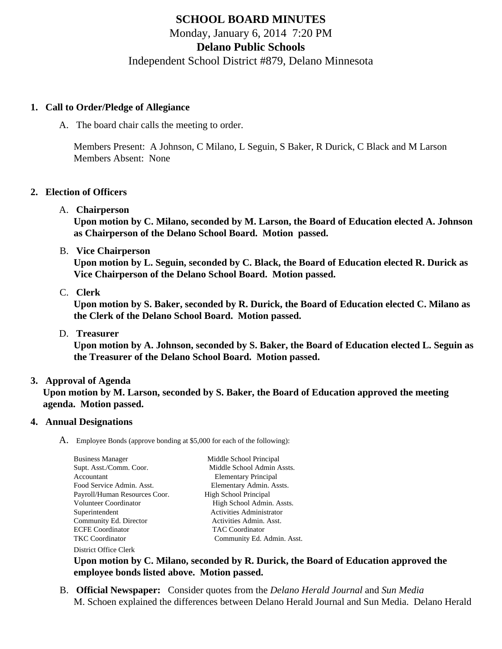# **SCHOOL BOARD MINUTES**

Monday, January 6, 2014 7:20 PM

# **Delano Public Schools**

Independent School District #879, Delano Minnesota

## **1. Call to Order/Pledge of Allegiance**

A. The board chair calls the meeting to order.

Members Present: A Johnson, C Milano, L Seguin, S Baker, R Durick, C Black and M Larson Members Absent: None

### **2. Election of Officers**

A. **Chairperson**

**Upon motion by C. Milano, seconded by M. Larson, the Board of Education elected A. Johnson as Chairperson of the Delano School Board. Motion passed.**

B. **Vice Chairperson**

**Upon motion by L. Seguin, seconded by C. Black, the Board of Education elected R. Durick as Vice Chairperson of the Delano School Board. Motion passed.**

C. **Clerk**

**Upon motion by S. Baker, seconded by R. Durick, the Board of Education elected C. Milano as the Clerk of the Delano School Board. Motion passed.**

D. **Treasurer**

**Upon motion by A. Johnson, seconded by S. Baker, the Board of Education elected L. Seguin as the Treasurer of the Delano School Board. Motion passed.**

## **3. Approval of Agenda**

**Upon motion by M. Larson, seconded by S. Baker, the Board of Education approved the meeting agenda. Motion passed.**

## **4. Annual Designations**

A. Employee Bonds (approve bonding at \$5,000 for each of the following):

| <b>Business Manager</b>       | Middle School Principal         |
|-------------------------------|---------------------------------|
| Supt. Asst./Comm. Coor.       | Middle School Admin Assts.      |
| Accountant                    | <b>Elementary Principal</b>     |
| Food Service Admin. Asst.     | Elementary Admin. Assts.        |
| Payroll/Human Resources Coor. | High School Principal           |
| Volunteer Coordinator         | High School Admin. Assts.       |
| Superintendent                | <b>Activities Administrator</b> |
| Community Ed. Director        | Activities Admin. Asst.         |
| <b>ECFE Coordinator</b>       | <b>TAC</b> Coordinator          |
| TKC Coordinator               | Community Ed. Admin. Asst.      |
| District Office Clerk         |                                 |

**Upon motion by C. Milano, seconded by R. Durick, the Board of Education approved the employee bonds listed above. Motion passed.**

B. **Official Newspaper:** Consider quotes from the *Delano Herald Journal* and *Sun Media* M. Schoen explained the differences between Delano Herald Journal and Sun Media. Delano Herald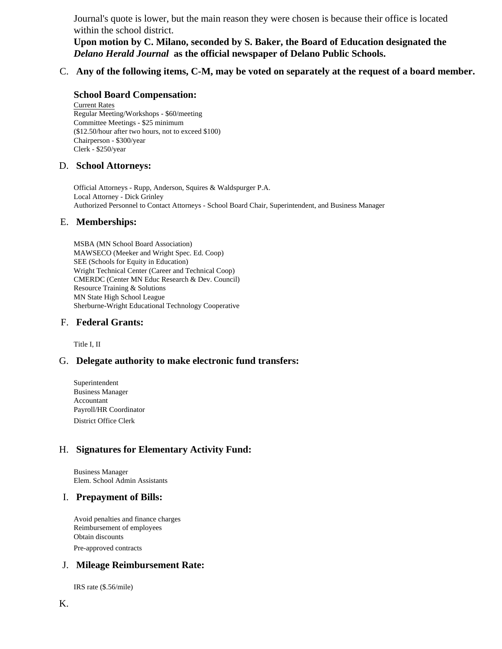Journal's quote is lower, but the main reason they were chosen is because their office is located within the school district.

**Upon motion by C. Milano, seconded by S. Baker, the Board of Education designated the**  *Delano Herald Journal* **as the official newspaper of Delano Public Schools.**

C. **Any of the following items, C-M, may be voted on separately at the request of a board member.**

#### **School Board Compensation:**

Current Rates Regular Meeting/Workshops - \$60/meeting Committee Meetings - \$25 minimum (\$12.50/hour after two hours, not to exceed \$100) Chairperson - \$300/year Clerk - \$250/year

#### D. **School Attorneys:**

Official Attorneys - Rupp, Anderson, Squires & Waldspurger P.A. Local Attorney - Dick Grinley Authorized Personnel to Contact Attorneys - School Board Chair, Superintendent, and Business Manager

#### E. **Memberships:**

MSBA (MN School Board Association) MAWSECO (Meeker and Wright Spec. Ed. Coop) SEE (Schools for Equity in Education) Wright Technical Center (Career and Technical Coop) CMERDC (Center MN Educ Research & Dev. Council) Resource Training & Solutions MN State High School League Sherburne-Wright Educational Technology Cooperative

#### F. **Federal Grants:**

Title I, II

#### G. **Delegate authority to make electronic fund transfers:**

Superintendent Business Manager Accountant Payroll/HR Coordinator District Office Clerk

## H. **Signatures for Elementary Activity Fund:**

Business Manager Elem. School Admin Assistants

#### I. **Prepayment of Bills:**

Avoid penalties and finance charges Reimbursement of employees Obtain discounts Pre-approved contracts

#### J. **Mileage Reimbursement Rate:**

IRS rate (\$.56/mile)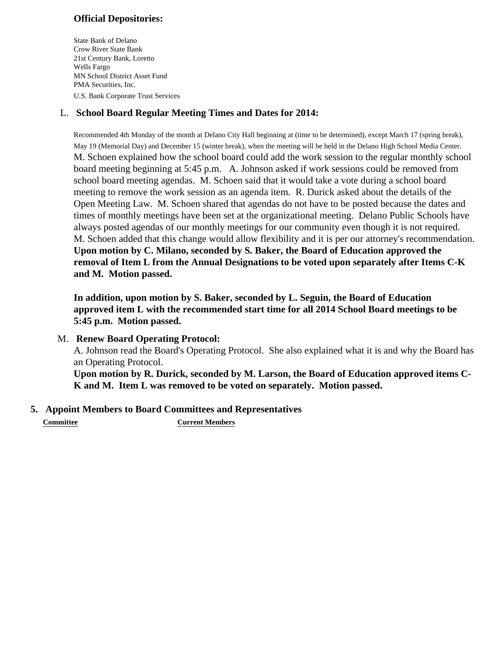# **Official Depositories:**

State Bank of Delano Crow River State Bank 21st Century Bank, Loretto Wells Fargo MN School District Asset Fund PMA Securities, Inc. U.S. Bank Corporate Trust Services

# L. **School Board Regular Meeting Times and Dates for 2014:**

Recommended 4th Monday of the month at Delano City Hall beginning at (time to be determined), except March 17 (spring break), May 19 (Memorial Day) and December 15 (winter break), when the meeting will be held in the Delano High School Media Center. M. Schoen explained how the school board could add the work session to the regular monthly school board meeting beginning at 5:45 p.m. A. Johnson asked if work sessions could be removed from school board meeting agendas. M. Schoen said that it would take a vote during a school board meeting to remove the work session as an agenda item. R. Durick asked about the details of the Open Meeting Law. M. Schoen shared that agendas do not have to be posted because the dates and times of monthly meetings have been set at the organizational meeting. Delano Public Schools have always posted agendas of our monthly meetings for our community even though it is not required. M. Schoen added that this change would allow flexibility and it is per our attorney's recommendation. **Upon motion by C. Milano, seconded by S. Baker, the Board of Education approved the removal of Item L from the Annual Designations to be voted upon separately after Items C-K and M. Motion passed.**

**In addition, upon motion by S. Baker, seconded by L. Seguin, the Board of Education approved item L with the recommended start time for all 2014 School Board meetings to be 5:45 p.m. Motion passed.**

## M. **Renew Board Operating Protocol:**

A. Johnson read the Board's Operating Protocol. She also explained what it is and why the Board has an Operating Protocol.

**Upon motion by R. Durick, seconded by M. Larson, the Board of Education approved items C-K and M. Item L was removed to be voted on separately. Motion passed.**

# **5. Appoint Members to Board Committees and Representatives**

**Committee Current Members**